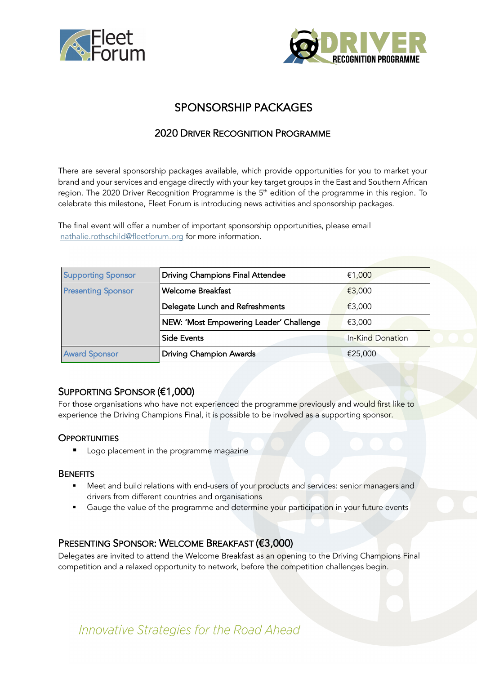



# SPONSORSHIP PACKAGES

## 2020 DRIVER RECOGNITION PROGRAMME

There are several sponsorship packages available, which provide opportunities for you to market your brand and your services and engage directly with your key target groups in the East and Southern African region. The 2020 Driver Recognition Programme is the 5<sup>th</sup> edition of the programme in this region. To celebrate this milestone, Fleet Forum is introducing news activities and sponsorship packages.

The final event will offer a number of important sponsorship opportunities, please email nathalie.rothschild@fleetforum.org for more information.

| <b>Supporting Sponsor</b> | <b>Driving Champions Final Attendee</b> | €1,000           |
|---------------------------|-----------------------------------------|------------------|
| <b>Presenting Sponsor</b> | <b>Welcome Breakfast</b>                | €3,000           |
|                           | Delegate Lunch and Refreshments         | €3,000           |
|                           | NEW: 'Most Empowering Leader' Challenge | €3,000           |
|                           | <b>Side Events</b>                      | In-Kind Donation |
| <b>Award Sponsor</b>      | <b>Driving Champion Awards</b>          | €25,000          |

## SUPPORTING SPONSOR (€1,000)

For those organisations who have not experienced the programme previously and would first like to experience the Driving Champions Final, it is possible to be involved as a supporting sponsor.

### **OPPORTUNITIES**

■ Logo placement in the programme magazine

### **BENEFITS**

- Meet and build relations with end-users of your products and services: senior managers and drivers from different countries and organisations
- Gauge the value of the programme and determine your participation in your future events

## PRESENTING SPONSOR: WELCOME BREAKFAST (€3,000)

Delegates are invited to attend the Welcome Breakfast as an opening to the Driving Champions Final competition and a relaxed opportunity to network, before the competition challenges begin.

Innovative Strategies for the Road Ahead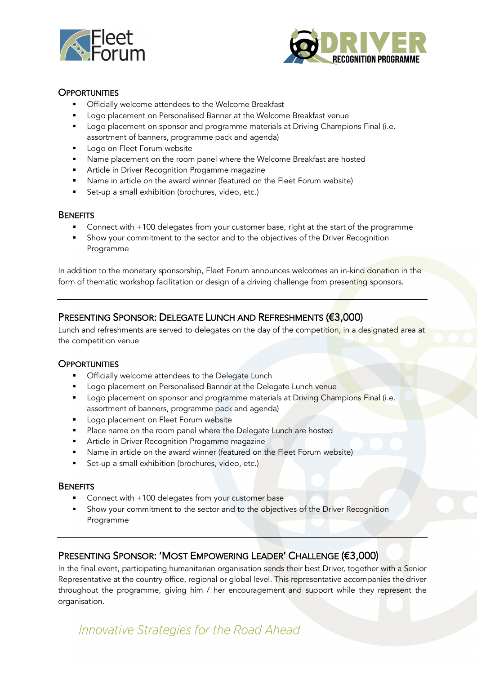



### **OPPORTUNITIES**

- **Officially welcome attendees to the Welcome Breakfast**
- Logo placement on Personalised Banner at the Welcome Breakfast venue
- Logo placement on sponsor and programme materials at Driving Champions Final (i.e. assortment of banners, programme pack and agenda)
- Logo on Fleet Forum website
- Name placement on the room panel where the Welcome Breakfast are hosted
- **Article in Driver Recognition Progamme magazine**
- Name in article on the award winner (featured on the Fleet Forum website)
- Set-up a small exhibition (brochures, video, etc.)

#### **BENEFITS**

- Connect with +100 delegates from your customer base, right at the start of the programme
- § Show your commitment to the sector and to the objectives of the Driver Recognition Programme

In addition to the monetary sponsorship, Fleet Forum announces welcomes an in-kind donation in the form of thematic workshop facilitation or design of a driving challenge from presenting sponsors.

## PRESENTING SPONSOR: DELEGATE LUNCH AND REFRESHMENTS (€3,000)

Lunch and refreshments are served to delegates on the day of the competition, in a designated area at the competition venue

#### **OPPORTUNITIES**

- Officially welcome attendees to the Delegate Lunch
- Logo placement on Personalised Banner at the Delegate Lunch venue
- **■** Logo placement on sponsor and programme materials at Driving Champions Final (i.e. assortment of banners, programme pack and agenda)
- Logo placement on Fleet Forum website
- Place name on the room panel where the Delegate Lunch are hosted
- **Article in Driver Recognition Progamme magazine**
- § Name in article on the award winner (featured on the Fleet Forum website)
- Set-up a small exhibition (brochures, video, etc.)

#### **BENEFITS**

- Connect with +100 delegates from your customer base
- Show your commitment to the sector and to the objectives of the Driver Recognition Programme

## PRESENTING SPONSOR: 'MOST EMPOWERING LEADER' CHALLENGE (€3,000)

In the final event, participating humanitarian organisation sends their best Driver, together with a Senior Representative at the country office, regional or global level. This representative accompanies the driver throughout the programme, giving him / her encouragement and support while they represent the organisation.

Innovative Strategies for the Road Ahead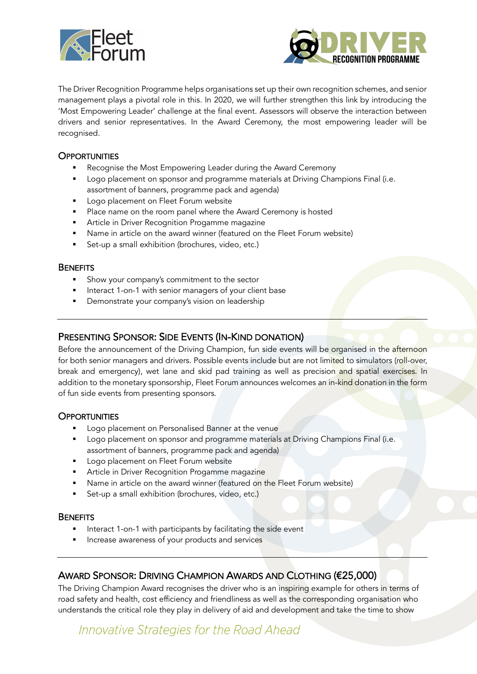



The Driver Recognition Programme helps organisations set up their own recognition schemes, and senior management plays a pivotal role in this. In 2020, we will further strengthen this link by introducing the 'Most Empowering Leader' challenge at the final event. Assessors will observe the interaction between drivers and senior representatives. In the Award Ceremony, the most empowering leader will be recognised.

### **OPPORTUNITIES**

- Recognise the Most Empowering Leader during the Award Ceremony
- Logo placement on sponsor and programme materials at Driving Champions Final (i.e. assortment of banners, programme pack and agenda)
- Logo placement on Fleet Forum website
- Place name on the room panel where the Award Ceremony is hosted
- **Article in Driver Recognition Progamme magazine**
- Name in article on the award winner (featured on the Fleet Forum website)
- Set-up a small exhibition (brochures, video, etc.)

#### **BENEFITS**

- Show your company's commitment to the sector
- Interact 1-on-1 with senior managers of your client base
- Demonstrate your company's vision on leadership

## PRESENTING SPONSOR: SIDE EVENTS (IN-KIND DONATION)

Before the announcement of the Driving Champion, fun side events will be organised in the afternoon for both senior managers and drivers. Possible events include but are not limited to simulators (roll-over, break and emergency), wet lane and skid pad training as well as precision and spatial exercises. In addition to the monetary sponsorship, Fleet Forum announces welcomes an in-kind donation in the form of fun side events from presenting sponsors.

#### **OPPORTUNITIES**

- Logo placement on Personalised Banner at the venue
- Logo placement on sponsor and programme materials at Driving Champions Final (i.e. assortment of banners, programme pack and agenda)
- **•** Logo placement on Fleet Forum website
- Article in Driver Recognition Progamme magazine
- Name in article on the award winner (featured on the Fleet Forum website)
- Set-up a small exhibition (brochures, video, etc.)

#### **BENEFITS**

- Interact 1-on-1 with participants by facilitating the side event
- § Increase awareness of your products and services

## AWARD SPONSOR: DRIVING CHAMPION AWARDS AND CLOTHING (€25,000)

The Driving Champion Award recognises the driver who is an inspiring example for others in terms of road safety and health, cost efficiency and friendliness as well as the corresponding organisation who understands the critical role they play in delivery of aid and development and take the time to show

Innovative Strategies for the Road Ahead